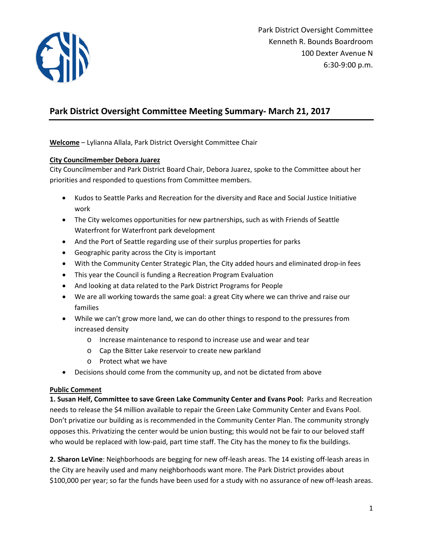

# **Park District Oversight Committee Meeting Summary- March 21, 2017**

**Welcome** – Lylianna Allala, Park District Oversight Committee Chair

#### **City Councilmember Debora Juarez**

City Councilmember and Park District Board Chair, Debora Juarez, spoke to the Committee about her priorities and responded to questions from Committee members.

- Kudos to Seattle Parks and Recreation for the diversity and Race and Social Justice Initiative work
- The City welcomes opportunities for new partnerships, such as with Friends of Seattle Waterfront for Waterfront park development
- And the Port of Seattle regarding use of their surplus properties for parks
- Geographic parity across the City is important
- With the Community Center Strategic Plan, the City added hours and eliminated drop-in fees
- This year the Council is funding a Recreation Program Evaluation
- And looking at data related to the Park District Programs for People
- We are all working towards the same goal: a great City where we can thrive and raise our families
- While we can't grow more land, we can do other things to respond to the pressures from increased density
	- o Increase maintenance to respond to increase use and wear and tear
	- o Cap the Bitter Lake reservoir to create new parkland
	- o Protect what we have
- Decisions should come from the community up, and not be dictated from above

### **Public Comment**

**1. Susan Helf, Committee to save Green Lake Community Center and Evans Pool:** Parks and Recreation needs to release the \$4 million available to repair the Green Lake Community Center and Evans Pool. Don't privatize our building as is recommended in the Community Center Plan. The community strongly opposes this. Privatizing the center would be union busting; this would not be fair to our beloved staff who would be replaced with low-paid, part time staff. The City has the money to fix the buildings.

**2. Sharon LeVine**: Neighborhoods are begging for new off-leash areas. The 14 existing off-leash areas in the City are heavily used and many neighborhoods want more. The Park District provides about \$100,000 per year; so far the funds have been used for a study with no assurance of new off-leash areas.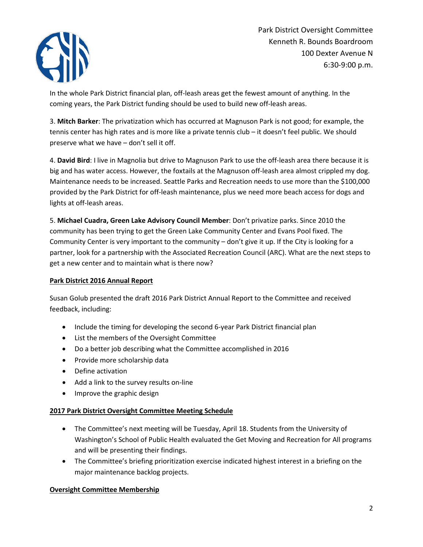

Park District Oversight Committee Kenneth R. Bounds Boardroom 100 Dexter Avenue N 6:30-9:00 p.m.

In the whole Park District financial plan, off-leash areas get the fewest amount of anything. In the coming years, the Park District funding should be used to build new off-leash areas.

3. **Mitch Barker**: The privatization which has occurred at Magnuson Park is not good; for example, the tennis center has high rates and is more like a private tennis club – it doesn't feel public. We should preserve what we have – don't sell it off.

4. **David Bird**: I live in Magnolia but drive to Magnuson Park to use the off-leash area there because it is big and has water access. However, the foxtails at the Magnuson off-leash area almost crippled my dog. Maintenance needs to be increased. Seattle Parks and Recreation needs to use more than the \$100,000 provided by the Park District for off-leash maintenance, plus we need more beach access for dogs and lights at off-leash areas.

5. **Michael Cuadra, Green Lake Advisory Council Member**: Don't privatize parks. Since 2010 the community has been trying to get the Green Lake Community Center and Evans Pool fixed. The Community Center is very important to the community – don't give it up. If the City is looking for a partner, look for a partnership with the Associated Recreation Council (ARC). What are the next steps to get a new center and to maintain what is there now?

### **Park District 2016 Annual Report**

Susan Golub presented the draft 2016 Park District Annual Report to the Committee and received feedback, including:

- Include the timing for developing the second 6-year Park District financial plan
- List the members of the Oversight Committee
- Do a better job describing what the Committee accomplished in 2016
- Provide more scholarship data
- Define activation
- Add a link to the survey results on-line
- Improve the graphic design

## **2017 Park District Oversight Committee Meeting Schedule**

- The Committee's next meeting will be Tuesday, April 18. Students from the University of Washington's School of Public Health evaluated the Get Moving and Recreation for All programs and will be presenting their findings.
- The Committee's briefing prioritization exercise indicated highest interest in a briefing on the major maintenance backlog projects.

## **Oversight Committee Membership**